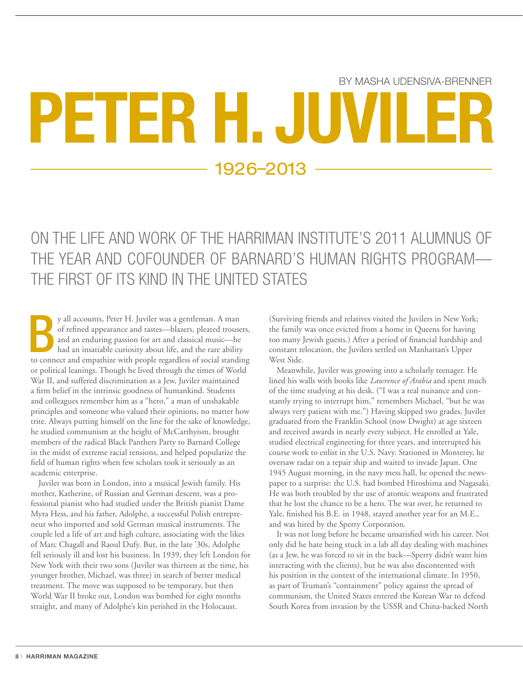By Masha Udensiva-Brenner

# PETER H. JUV 1926–2013

ON the LIFE AND WORK OF THE Harriman Institute's 2011 Alumnus of the Year and cofounder of Barnard's Human Rights Program the first of its kind in the UNITED STATES

y all accounts, Peter H. Juviler was a gentleman. A man<br>of refined appearance and tastes—blazers, pleated trousers,<br>and an enduring passion for art and classical music—he<br>had an insatiable curiosity about life, and the rar y all accounts, Peter H. Juviler was a gentleman. A man of refined appearance and tastes—blazers, pleated trousers, and an enduring passion for art and classical music—he had an insatiable curiosity about life, and the rare ability or political leanings. Though he lived through the times of World War II, and suffered discrimination as a Jew, Juviler maintained a firm belief in the intrinsic goodness of humankind. Students and colleagues remember him as a "hero," a man of unshakable principles and someone who valued their opinions, no matter how trite. Always putting himself on the line for the sake of knowledge, he studied communism at the height of McCarthyism, brought members of the radical Black Panthers Party to Barnard College in the midst of extreme racial tensions, and helped popularize the field of human rights when few scholars took it seriously as an academic enterprise.

Juviler was born in London, into a musical Jewish family. His mother, Katherine, of Russian and German descent, was a professional pianist who had studied under the British pianist Dame Myra Hess, and his father, Adolphe, a successful Polish entrepreneur who imported and sold German musical instruments. The couple led a life of art and high culture, associating with the likes of Marc Chagall and Raoul Dufy. But, in the late '30s, Adolphe fell seriously ill and lost his business. In 1939, they left London for New York with their two sons (Juviler was thirteen at the time, his younger brother, Michael, was three) in search of better medical treatment. The move was supposed to be temporary, but then World War II broke out, London was bombed for eight months straight, and many of Adolphe's kin perished in the Holocaust.

(Surviving friends and relatives visited the Juvilers in New York; the family was once evicted from a home in Queens for having too many Jewish guests.) After a period of financial hardship and constant relocation, the Juvilers settled on Manhattan's Upper West Side.

Meanwhile, Juviler was growing into a scholarly teenager. He lined his walls with books like *Lawrence of Arabia* and spent much of the time studying at his desk. ("I was a real nuisance and constantly trying to interrupt him," remembers Michael, "but he was always very patient with me.") Having skipped two grades, Juviler graduated from the Franklin School (now Dwight) at age sixteen and received awards in nearly every subject. He enrolled at Yale, studied electrical engineering for three years, and interrupted his course work to enlist in the U.S. Navy. Stationed in Monterey, he oversaw radar on a repair ship and waited to invade Japan. One 1945 August morning, in the navy mess hall, he opened the newspaper to a surprise: the U.S. had bombed Hiroshima and Nagasaki. He was both troubled by the use of atomic weapons and frustrated that he lost the chance to be a hero. The war over, he returned to Yale, finished his B.E. in 1948, stayed another year for an M.E., and was hired by the Sperry Corporation.

It was not long before he became unsatisfied with his career. Not only did he hate being stuck in a lab all day dealing with machines (as a Jew, he was forced to sit in the back—Sperry didn't want him interacting with the clients), but he was also discontented with his position in the context of the international climate. In 1950, as part of Truman's "containment" policy against the spread of communism, the United States entered the Korean War to defend South Korea from invasion by the USSR and China-backed North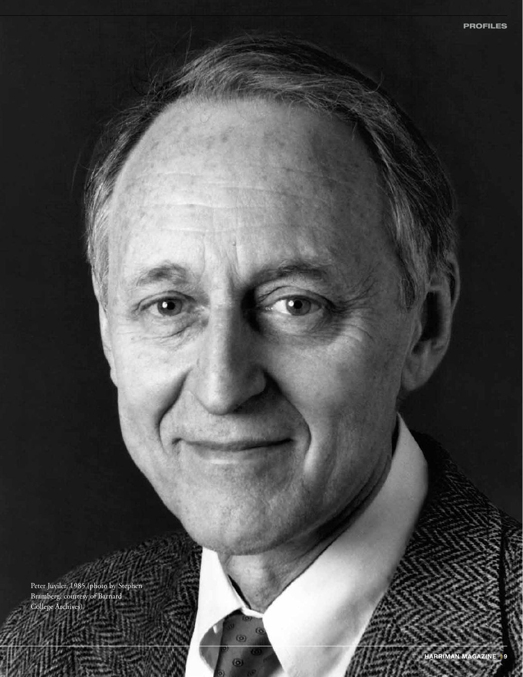Peter Juviler, 1985 (photo by Stephen Bramberg, courtesy of Barnard College Archives)

 $\overline{(\Omega)}$ 

 $\overline{(\alpha)}$ 

n.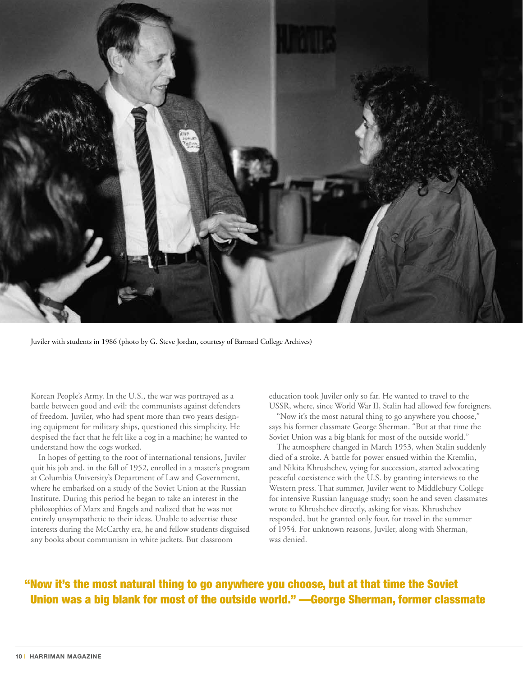

Juviler with students in 1986 (photo by G. Steve Jordan, courtesy of Barnard College Archives)

Korean People's Army. In the U.S., the war was portrayed as a battle between good and evil: the communists against defenders of freedom. Juviler, who had spent more than two years designing equipment for military ships, questioned this simplicity. He despised the fact that he felt like a cog in a machine; he wanted to understand how the cogs worked.

In hopes of getting to the root of international tensions, Juviler quit his job and, in the fall of 1952, enrolled in a master's program at Columbia University's Department of Law and Government, where he embarked on a study of the Soviet Union at the Russian Institute. During this period he began to take an interest in the philosophies of Marx and Engels and realized that he was not entirely unsympathetic to their ideas. Unable to advertise these interests during the McCarthy era, he and fellow students disguised any books about communism in white jackets. But classroom

education took Juviler only so far. He wanted to travel to the USSR, where, since World War II, Stalin had allowed few foreigners.

"Now it's the most natural thing to go anywhere you choose," says his former classmate George Sherman. "But at that time the Soviet Union was a big blank for most of the outside world."

The atmosphere changed in March 1953, when Stalin suddenly died of a stroke. A battle for power ensued within the Kremlin, and Nikita Khrushchev, vying for succession, started advocating peaceful coexistence with the U.S. by granting interviews to the Western press. That summer, Juviler went to Middlebury College for intensive Russian language study; soon he and seven classmates wrote to Khrushchev directly, asking for visas. Khrushchev responded, but he granted only four, for travel in the summer of 1954. For unknown reasons, Juviler, along with Sherman, was denied.

### "Now it's the most natural thing to go anywhere you choose, but at that time the Soviet Union was a big blank for most of the outside world." —George Sherman, former classmate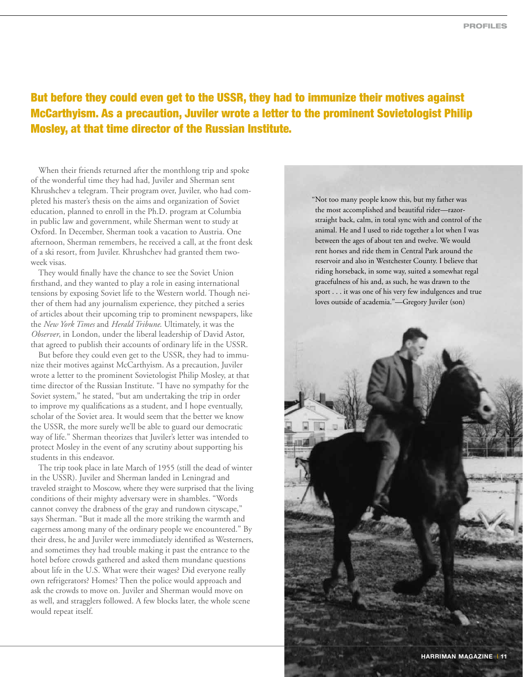## But before they could even get to the USSR, they had to immunize their motives against McCarthyism. As a precaution, Juviler wrote a letter to the prominent Sovietologist Philip Mosley, at that time director of the Russian Institute.

When their friends returned after the monthlong trip and spoke of the wonderful time they had had, Juviler and Sherman sent Khrushchev a telegram. Their program over, Juviler, who had completed his master's thesis on the aims and organization of Soviet education, planned to enroll in the Ph.D. program at Columbia in public law and government, while Sherman went to study at Oxford. In December, Sherman took a vacation to Austria. One afternoon, Sherman remembers, he received a call, at the front desk of a ski resort, from Juviler. Khrushchev had granted them twoweek visas.

They would finally have the chance to see the Soviet Union firsthand, and they wanted to play a role in easing international tensions by exposing Soviet life to the Western world. Though neither of them had any journalism experience, they pitched a series of articles about their upcoming trip to prominent newspapers, like the *New York Times* and *Herald Tribune*. Ultimately, it was the *Observer*, in London, under the liberal leadership of David Astor, that agreed to publish their accounts of ordinary life in the USSR.

But before they could even get to the USSR, they had to immunize their motives against McCarthyism. As a precaution, Juviler wrote a letter to the prominent Sovietologist Philip Mosley, at that time director of the Russian Institute. "I have no sympathy for the Soviet system," he stated, "but am undertaking the trip in order to improve my qualifications as a student, and I hope eventually, scholar of the Soviet area. It would seem that the better we know the USSR, the more surely we'll be able to guard our democratic way of life." Sherman theorizes that Juviler's letter was intended to protect Mosley in the event of any scrutiny about supporting his students in this endeavor.

The trip took place in late March of 1955 (still the dead of winter in the USSR). Juviler and Sherman landed in Leningrad and traveled straight to Moscow, where they were surprised that the living conditions of their mighty adversary were in shambles. "Words cannot convey the drabness of the gray and rundown cityscape," says Sherman. "But it made all the more striking the warmth and eagerness among many of the ordinary people we encountered." By their dress, he and Juviler were immediately identified as Westerners, and sometimes they had trouble making it past the entrance to the hotel before crowds gathered and asked them mundane questions about life in the U.S. What were their wages? Did everyone really own refrigerators? Homes? Then the police would approach and ask the crowds to move on. Juviler and Sherman would move on as well, and stragglers followed. A few blocks later, the whole scene would repeat itself.

Not too many people know this, but my father was the most accomplished and beautiful rider—razorstraight back, calm, in total sync with and control of the animal. He and I used to ride together a lot when I was between the ages of about ten and twelve. We would rent horses and ride them in Central Park around the reservoir and also in Westchester County. I believe that riding horseback, in some way, suited a somewhat regal gracefulness of his and, as such, he was drawn to the sport . . . it was one of his very few indulgences and true loves outside of academia."—Gregory Juviler (son)

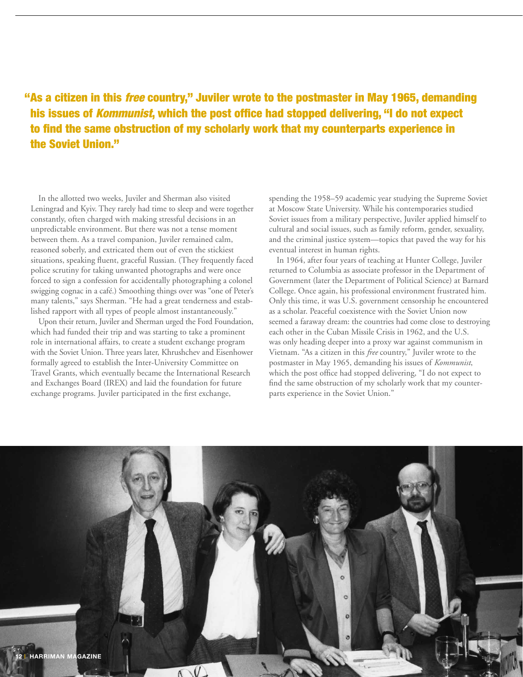## "As a citizen in this *free* country," Juviler wrote to the postmaster in May 1965, demanding his issues of *Kommunist*, which the post office had stopped delivering, "I do not expect to find the same obstruction of my scholarly work that my counterparts experience in the Soviet Union."

In the allotted two weeks, Juviler and Sherman also visited Leningrad and Kyiv. They rarely had time to sleep and were together constantly, often charged with making stressful decisions in an unpredictable environment. But there was not a tense moment between them. As a travel companion, Juviler remained calm, reasoned soberly, and extricated them out of even the stickiest situations, speaking fluent, graceful Russian. (They frequently faced police scrutiny for taking unwanted photographs and were once forced to sign a confession for accidentally photographing a colonel swigging cognac in a café.) Smoothing things over was "one of Peter's many talents," says Sherman. "He had a great tenderness and established rapport with all types of people almost instantaneously."

Upon their return, Juviler and Sherman urged the Ford Foundation, which had funded their trip and was starting to take a prominent role in international affairs, to create a student exchange program with the Soviet Union. Three years later, Khrushchev and Eisenhower formally agreed to establish the Inter-University Committee on Travel Grants, which eventually became the International Research and Exchanges Board (IREX) and laid the foundation for future exchange programs. Juviler participated in the first exchange,

spending the 1958–59 academic year studying the Supreme Soviet at Moscow State University. While his contemporaries studied Soviet issues from a military perspective, Juviler applied himself to cultural and social issues, such as family reform, gender, sexuality, and the criminal justice system—topics that paved the way for his eventual interest in human rights.

In 1964, after four years of teaching at Hunter College, Juviler returned to Columbia as associate professor in the Department of Government (later the Department of Political Science) at Barnard College. Once again, his professional environment frustrated him. Only this time, it was U.S. government censorship he encountered as a scholar. Peaceful coexistence with the Soviet Union now seemed a faraway dream: the countries had come close to destroying each other in the Cuban Missile Crisis in 1962, and the U.S. was only heading deeper into a proxy war against communism in Vietnam. "As a citizen in this *free* country," Juviler wrote to the postmaster in May 1965, demanding his issues of *Kommunist*, which the post office had stopped delivering, "I do not expect to find the same obstruction of my scholarly work that my counterparts experience in the Soviet Union."

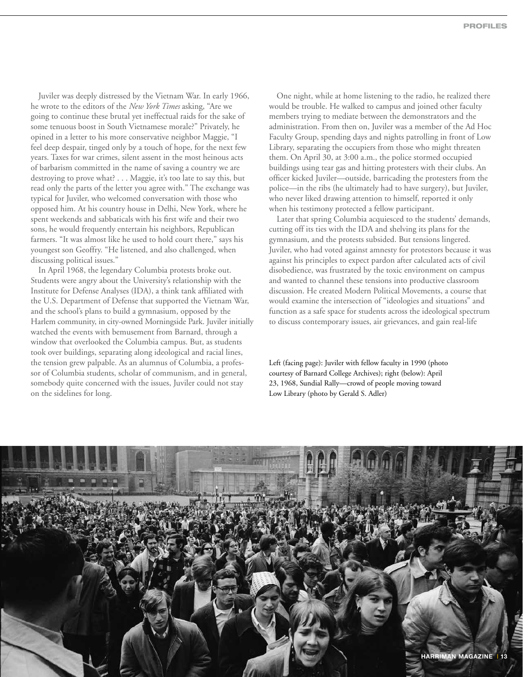Juviler was deeply distressed by the Vietnam War. In early 1966, he wrote to the editors of the *New York Times* asking, "Are we going to continue these brutal yet ineffectual raids for the sake of some tenuous boost in South Vietnamese morale?" Privately, he opined in a letter to his more conservative neighbor Maggie, "I feel deep despair, tinged only by a touch of hope, for the next few years. Taxes for war crimes, silent assent in the most heinous acts of barbarism committed in the name of saving a country we are destroying to prove what? . . . Maggie, it's too late to say this, but read only the parts of the letter you agree with." The exchange was typical for Juviler, who welcomed conversation with those who opposed him. At his country house in Delhi, New York, where he spent weekends and sabbaticals with his first wife and their two sons, he would frequently entertain his neighbors, Republican farmers. "It was almost like he used to hold court there," says his youngest son Geoffry. "He listened, and also challenged, when discussing political issues."

In April 1968, the legendary Columbia protests broke out. Students were angry about the University's relationship with the Institute for Defense Analyses (IDA), a think tank affiliated with the U.S. Department of Defense that supported the Vietnam War, and the school's plans to build a gymnasium, opposed by the Harlem community, in city-owned Morningside Park. Juviler initially watched the events with bemusement from Barnard, through a window that overlooked the Columbia campus. But, as students took over buildings, separating along ideological and racial lines, the tension grew palpable. As an alumnus of Columbia, a professor of Columbia students, scholar of communism, and in general, somebody quite concerned with the issues, Juviler could not stay on the sidelines for long.

One night, while at home listening to the radio, he realized there would be trouble. He walked to campus and joined other faculty members trying to mediate between the demonstrators and the administration. From then on, Juviler was a member of the Ad Hoc Faculty Group, spending days and nights patrolling in front of Low Library, separating the occupiers from those who might threaten them. On April 30, at 3:00 a.m., the police stormed occupied buildings using tear gas and hitting protesters with their clubs. An officer kicked Juviler—outside, barricading the protesters from the police—in the ribs (he ultimately had to have surgery), but Juviler, who never liked drawing attention to himself, reported it only when his testimony protected a fellow participant.

Later that spring Columbia acquiesced to the students' demands, cutting off its ties with the IDA and shelving its plans for the gymnasium, and the protests subsided. But tensions lingered. Juviler, who had voted against amnesty for protestors because it was against his principles to expect pardon after calculated acts of civil disobedience, was frustrated by the toxic environment on campus and wanted to channel these tensions into productive classroom discussion. He created Modern Political Movements, a course that would examine the intersection of "ideologies and situations" and function as a safe space for students across the ideological spectrum to discuss contemporary issues, air grievances, and gain real-life

Left (facing page): Juviler with fellow faculty in 1990 (photo courtesy of Barnard College Archives); right (below): April 23, 1968, Sundial Rally—crowd of people moving toward Low Library (photo by Gerald S. Adler)

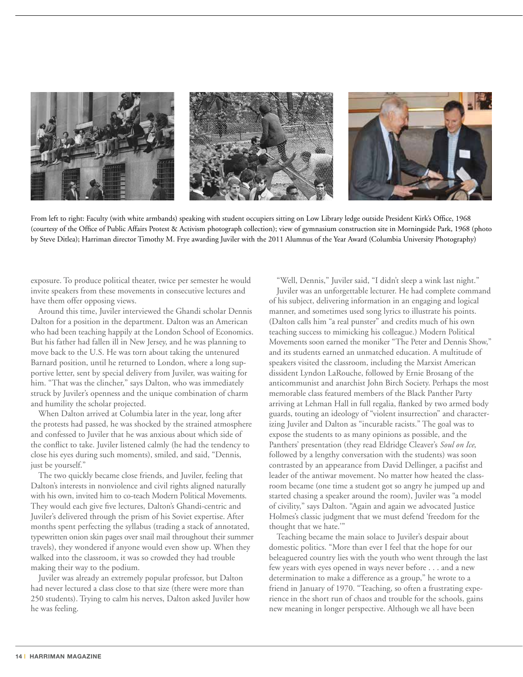

From left to right: Faculty (with white armbands) speaking with student occupiers sitting on Low Library ledge outside President Kirk's Office, 1968 (courtesy of the Office of Public Affairs Protest & Activism photograph collection); view of gymnasium construction site in Morningside Park, 1968 (photo by Steve Ditlea); Harriman director Timothy M. Frye awarding Juviler with the 2011 Alumnus of the Year Award (Columbia University Photography)

exposure. To produce political theater, twice per semester he would invite speakers from these movements in consecutive lectures and have them offer opposing views.

Around this time, Juviler interviewed the Ghandi scholar Dennis Dalton for a position in the department. Dalton was an American who had been teaching happily at the London School of Economics. But his father had fallen ill in New Jersey, and he was planning to move back to the U.S. He was torn about taking the untenured Barnard position, until he returned to London, where a long supportive letter, sent by special delivery from Juviler, was waiting for him. "That was the clincher," says Dalton, who was immediately struck by Juviler's openness and the unique combination of charm and humility the scholar projected.

When Dalton arrived at Columbia later in the year, long after the protests had passed, he was shocked by the strained atmosphere and confessed to Juviler that he was anxious about which side of the conflict to take. Juviler listened calmly (he had the tendency to close his eyes during such moments), smiled, and said, "Dennis, just be yourself."

The two quickly became close friends, and Juviler, feeling that Dalton's interests in nonviolence and civil rights aligned naturally with his own, invited him to co-teach Modern Political Movements. They would each give five lectures, Dalton's Ghandi-centric and Juviler's delivered through the prism of his Soviet expertise. After months spent perfecting the syllabus (trading a stack of annotated, typewritten onion skin pages over snail mail throughout their summer travels), they wondered if anyone would even show up. When they walked into the classroom, it was so crowded they had trouble making their way to the podium.

Juviler was already an extremely popular professor, but Dalton had never lectured a class close to that size (there were more than 250 students). Trying to calm his nerves, Dalton asked Juviler how he was feeling.

"Well, Dennis," Juviler said, "I didn't sleep a wink last night." Juviler was an unforgettable lecturer. He had complete command of his subject, delivering information in an engaging and logical manner, and sometimes used song lyrics to illustrate his points. (Dalton calls him "a real punster" and credits much of his own teaching success to mimicking his colleague.) Modern Political Movements soon earned the moniker "The Peter and Dennis Show," and its students earned an unmatched education. A multitude of speakers visited the classroom, including the Marxist American dissident Lyndon LaRouche, followed by Ernie Brosang of the anticommunist and anarchist John Birch Society. Perhaps the most memorable class featured members of the Black Panther Party arriving at Lehman Hall in full regalia, flanked by two armed body guards, touting an ideology of "violent insurrection" and characterizing Juviler and Dalton as "incurable racists." The goal was to expose the students to as many opinions as possible, and the Panthers' presentation (they read Eldridge Cleaver's *Soul on Ice*, followed by a lengthy conversation with the students) was soon contrasted by an appearance from David Dellinger, a pacifist and leader of the antiwar movement. No matter how heated the classroom became (one time a student got so angry he jumped up and started chasing a speaker around the room), Juviler was "a model of civility," says Dalton. "Again and again we advocated Justice Holmes's classic judgment that we must defend 'freedom for the thought that we hate.'"

Teaching became the main solace to Juviler's despair about domestic politics. "More than ever I feel that the hope for our beleaguered country lies with the youth who went through the last few years with eyes opened in ways never before . . . and a new determination to make a difference as a group," he wrote to a friend in January of 1970. "Teaching, so often a frustrating experience in the short run of chaos and trouble for the schools, gains new meaning in longer perspective. Although we all have been